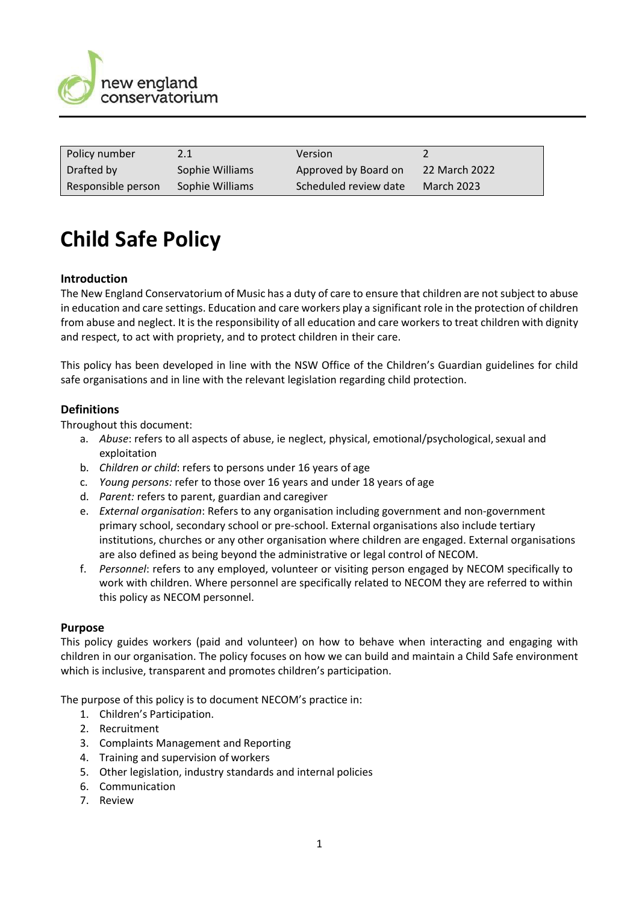

| Policy number      |                 | <b>Version</b>        |                   |
|--------------------|-----------------|-----------------------|-------------------|
| Drafted by         | Sophie Williams | Approved by Board on  | 22 March 2022     |
| Responsible person | Sophie Williams | Scheduled review date | <b>March 2023</b> |

# **Child Safe Policy**

## **Introduction**

The New England Conservatorium of Music has a duty of care to ensure that children are not subject to abuse in education and care settings. Education and care workers play a significant role in the protection of children from abuse and neglect. It is the responsibility of all education and care workers to treat children with dignity and respect, to act with propriety, and to protect children in their care.

This policy has been developed in line with the NSW Office of the Children's Guardian guidelines for child safe organisations and in line with the relevant legislation regarding child protection.

### **Definitions**

Throughout this document:

- a. *Abuse*: refers to all aspects of abuse, ie neglect, physical, emotional/psychological, sexual and exploitation
- b. *Children or child*: refers to persons under 16 years of age
- c. *Young persons:* refer to those over 16 years and under 18 years of age
- d. *Parent:* refers to parent, guardian and caregiver
- e. *External organisation*: Refers to any organisation including government and non-government primary school, secondary school or pre-school. External organisations also include tertiary institutions, churches or any other organisation where children are engaged. External organisations are also defined as being beyond the administrative or legal control of NECOM.
- f. *Personnel*: refers to any employed, volunteer or visiting person engaged by NECOM specifically to work with children. Where personnel are specifically related to NECOM they are referred to within this policy as NECOM personnel.

#### **Purpose**

This policy guides workers (paid and volunteer) on how to behave when interacting and engaging with children in our organisation. The policy focuses on how we can build and maintain a Child Safe environment which is inclusive, transparent and promotes children's participation.

The purpose of this policy is to document NECOM's practice in:

- 1. Children's Participation.
- 2. Recruitment
- 3. Complaints Management and Reporting
- 4. Training and supervision of workers
- 5. Other legislation, industry standards and internal policies
- 6. Communication
- 7. Review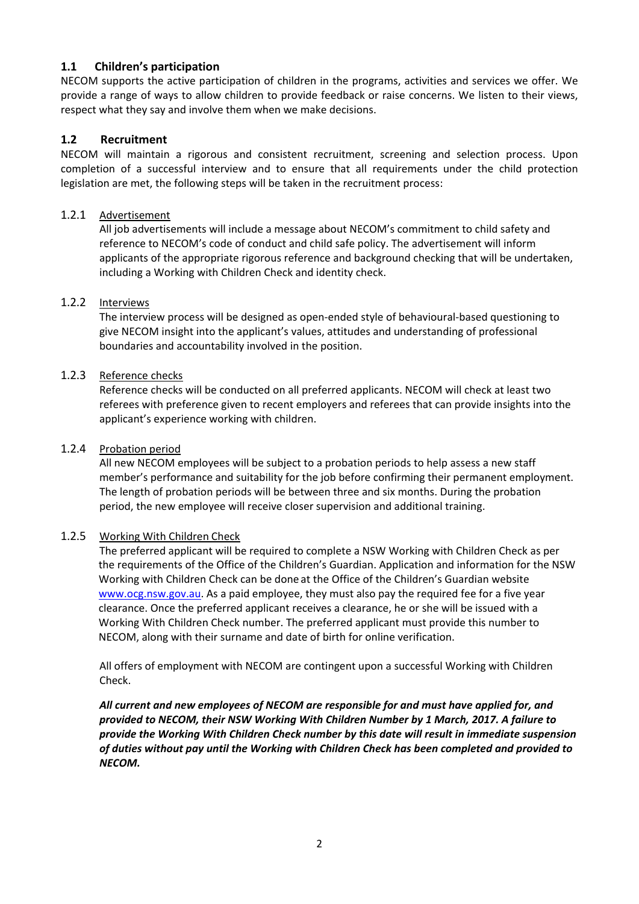# **1.1 Children's participation**

NECOM supports the active participation of children in the programs, activities and services we offer. We provide a range of ways to allow children to provide feedback or raise concerns. We listen to their views, respect what they say and involve them when we make decisions.

# **1.2 Recruitment**

NECOM will maintain a rigorous and consistent recruitment, screening and selection process. Upon completion of a successful interview and to ensure that all requirements under the child protection legislation are met, the following steps will be taken in the recruitment process:

## 1.2.1 Advertisement

All job advertisements will include a message about NECOM's commitment to child safety and reference to NECOM's code of conduct and child safe policy. The advertisement will inform applicants of the appropriate rigorous reference and background checking that will be undertaken, including a Working with Children Check and identity check.

## 1.2.2 Interviews

The interview process will be designed as open-ended style of behavioural-based questioning to give NECOM insight into the applicant's values, attitudes and understanding of professional boundaries and accountability involved in the position.

### 1.2.3 Reference checks

Reference checks will be conducted on all preferred applicants. NECOM will check at least two referees with preference given to recent employers and referees that can provide insights into the applicant's experience working with children.

#### 1.2.4 Probation period

All new NECOM employees will be subject to a probation periods to help assess a new staff member's performance and suitability for the job before confirming their permanent employment. The length of probation periods will be between three and six months. During the probation period, the new employee will receive closer supervision and additional training.

## 1.2.5 Working With Children Check

The preferred applicant will be required to complete a NSW Working with Children Check as per the requirements of the Office of the Children's Guardian. Application and information for the NSW Working with Children Check can be done at the Office of the Children's Guardian website [www.ocg.nsw.gov.au.](http://www.ocg.nsw.gov.au/) As a paid employee, they must also pay the required fee for a five year clearance. Once the preferred applicant receives a clearance, he or she will be issued with a Working With Children Check number. The preferred applicant must provide this number to NECOM, along with their surname and date of birth for online verification.

All offers of employment with NECOM are contingent upon a successful Working with Children Check.

*All current and new employees of NECOM are responsible for and must have applied for, and provided to NECOM, their NSW Working With Children Number by 1 March, 2017. A failure to provide the Working With Children Check number by this date will result in immediate suspension of duties without pay until the Working with Children Check has been completed and provided to NECOM.*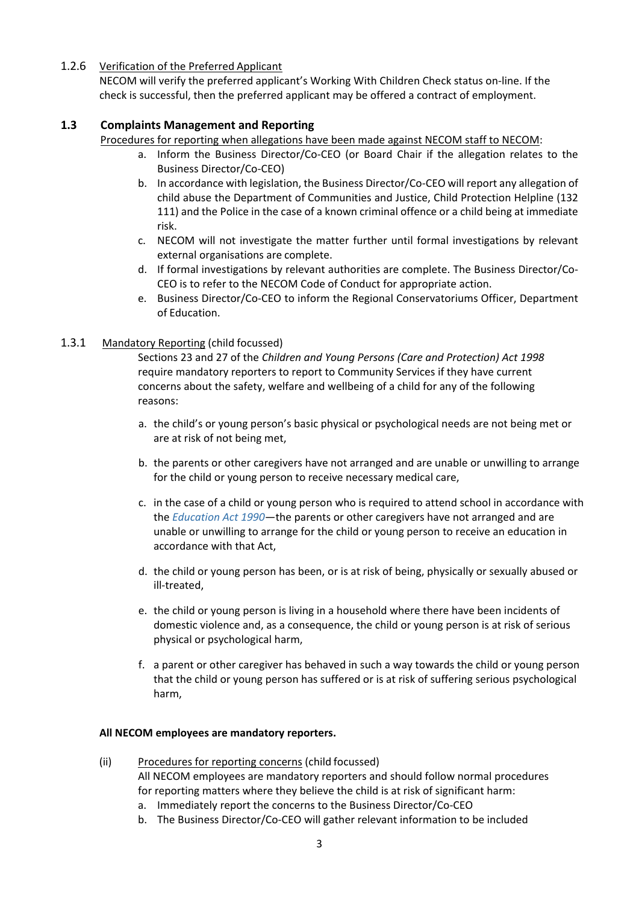## 1.2.6 Verification of the Preferred Applicant

NECOM will verify the preferred applicant's Working With Children Check status on-line. If the check is successful, then the preferred applicant may be offered a contract of employment.

# **1.3 Complaints Management and Reporting**

Procedures for reporting when allegations have been made against NECOM staff to NECOM:

- a. Inform the Business Director/Co-CEO (or Board Chair if the allegation relates to the Business Director/Co-CEO)
- b. In accordance with legislation, the Business Director/Co-CEO will report any allegation of child abuse the Department of Communities and Justice, Child Protection Helpline (132 111) and the Police in the case of a known criminal offence or a child being at immediate risk.
- c. NECOM will not investigate the matter further until formal investigations by relevant external organisations are complete.
- d. If formal investigations by relevant authorities are complete. The Business Director/Co-CEO is to refer to the NECOM Code of Conduct for appropriate action.
- e. Business Director/Co-CEO to inform the Regional Conservatoriums Officer, Department of Education.

### 1.3.1 Mandatory Reporting (child focussed)

Sections 23 and 27 of the *Children and Young Persons (Care and Protection) Act 1998*  require mandatory reporters to report to Community Services if they have current concerns about the safety, welfare and wellbeing of a child for any of the following reasons:

- a. the child's or young person's basic physical or psychological needs are not being met or are at risk of not being met,
- b. the parents or other caregivers have not arranged and are unable or unwilling to arrange for the child or young person to receive necessary medical care,
- c. in the case of a child or young person who is required to attend school in accordance with the *[Education Act 1990](https://legislation.nsw.gov.au/view/html/inforce/current/act-1990-008)*—the parents or other caregivers have not arranged and are unable or unwilling to arrange for the child or young person to receive an education in accordance with that Act,
- d. the child or young person has been, or is at risk of being, physically or sexually abused or ill-treated,
- e. the child or young person is living in a household where there have been incidents of domestic violence and, as a consequence, the child or young person is at risk of serious physical or psychological harm,
- f. a parent or other caregiver has behaved in such a way towards the child or young person that the child or young person has suffered or is at risk of suffering serious psychological harm,

#### **All NECOM employees are mandatory reporters.**

- (ii) Procedures for reporting concerns (child focussed) All NECOM employees are mandatory reporters and should follow normal procedures for reporting matters where they believe the child is at risk of significant harm: a. Immediately report the concerns to the Business Director/Co-CEO
	- b. The Business Director/Co-CEO will gather relevant information to be included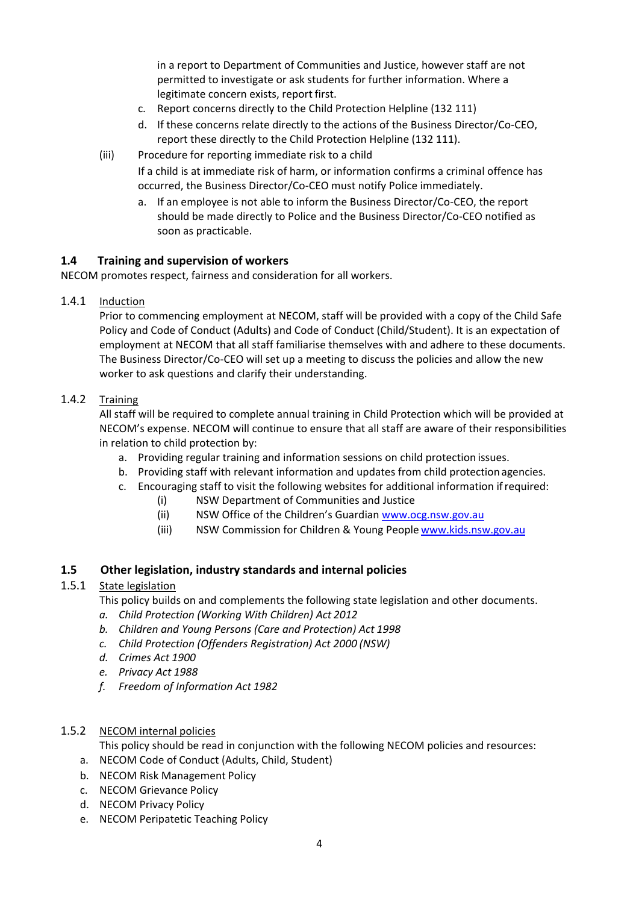in a report to Department of Communities and Justice, however staff are not permitted to investigate or ask students for further information. Where a legitimate concern exists, report first.

- c. Report concerns directly to the Child Protection Helpline (132 111)
- d. If these concerns relate directly to the actions of the Business Director/Co-CEO, report these directly to the Child Protection Helpline (132 111).
- (iii) Procedure for reporting immediate risk to a child
	- If a child is at immediate risk of harm, or information confirms a criminal offence has occurred, the Business Director/Co-CEO must notify Police immediately.
	- a. If an employee is not able to inform the Business Director/Co-CEO, the report should be made directly to Police and the Business Director/Co-CEO notified as soon as practicable.

### **1.4 Training and supervision of workers**

NECOM promotes respect, fairness and consideration for all workers.

1.4.1 Induction

Prior to commencing employment at NECOM, staff will be provided with a copy of the Child Safe Policy and Code of Conduct (Adults) and Code of Conduct (Child/Student). It is an expectation of employment at NECOM that all staff familiarise themselves with and adhere to these documents. The Business Director/Co-CEO will set up a meeting to discuss the policies and allow the new worker to ask questions and clarify their understanding.

### 1.4.2 Training

All staff will be required to complete annual training in Child Protection which will be provided at NECOM's expense. NECOM will continue to ensure that all staff are aware of their responsibilities in relation to child protection by:

- a. Providing regular training and information sessions on child protection issues.
- b. Providing staff with relevant information and updates from child protection agencies.
- c. Encouraging staff to visit the following websites for additional information ifrequired:
	- (i) NSW Department of Communities and Justice
	- (ii) NSW Office of the Children's Guardian [www.ocg.nsw.gov.au](http://www.ocg.nsw.gov.au/)
	- (iii) NSW Commission for Children & Young People [www.kids.nsw.gov.au](http://www.kids.nsw.gov.au/)

#### **1.5 Other legislation, industry standards and internal policies**

### 1.5.1 State legislation

This policy builds on and complements the following state legislation and other documents.

- *a. Child Protection (Working With Children) Act 2012*
- *b. Children and Young Persons (Care and Protection) Act 1998*
- *c. Child Protection (Offenders Registration) Act 2000 (NSW)*
- *d. Crimes Act 1900*
- *e. Privacy Act 1988*
- *f. Freedom of Information Act 1982*

#### 1.5.2 NECOM internal policies

This policy should be read in conjunction with the following NECOM policies and resources:

- a. NECOM Code of Conduct (Adults, Child, Student)
- b. NECOM Risk Management Policy
- c. NECOM Grievance Policy
- d. NECOM Privacy Policy
- e. NECOM Peripatetic Teaching Policy